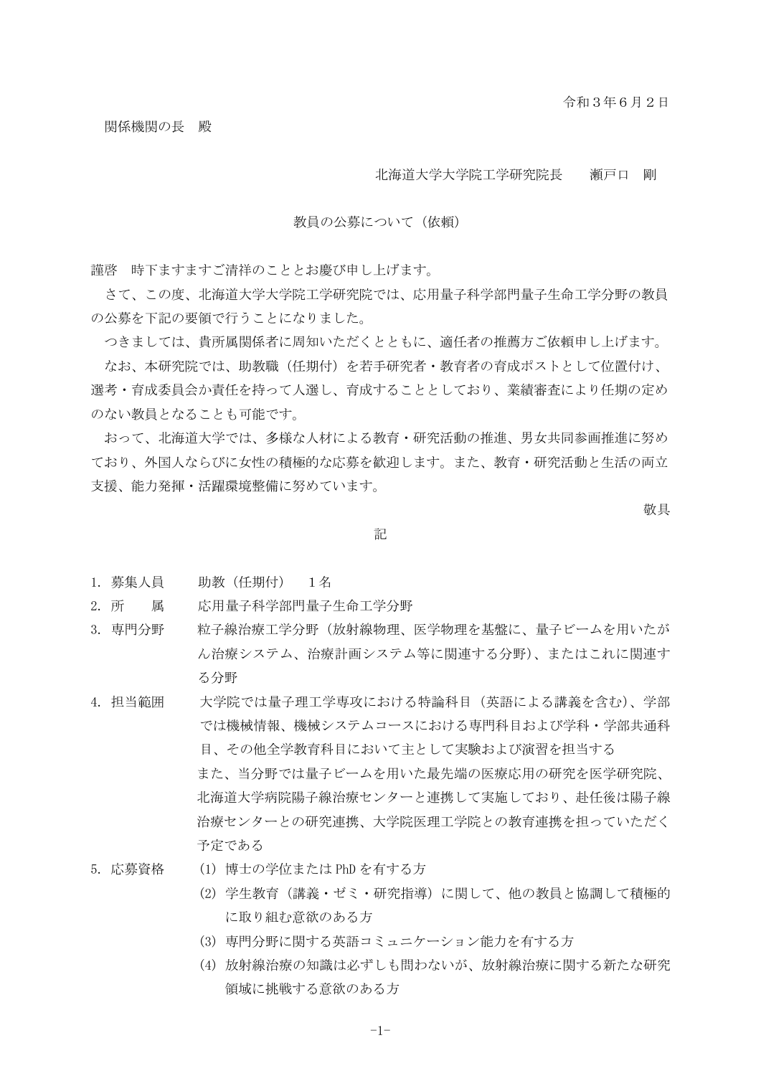### 北海道大学大学院工学研究院長 瀬戸口 剛

### 教員の公募について(依頼)

謹啓 時下ますますご清祥のこととお慶び申し上げます。

さて、この度、北海道大学大学院工学研究院では、応用量子科学部門量子生命工学分野の教員 の公募を下記の要領で行うことになりました。

つきましては、貴所属関係者に周知いただくとともに、適任者の推薦方ご依頼申し上げます。

なお、本研究院では、助教職(任期付)を若手研究者・教育者の育成ポストとして位置付け、 選考・育成委員会か責任を持って人選し、育成することとしており、業績審査により任期の定め のない教員となることも可能です。

おって、北海道大学では、多様な人材による教育・研究活動の推進、男女共同参画推進に努め ており、外国人ならびに女性の積極的な応募を歓迎します。また、教育・研究活動と生活の両立 支援、能力発揮・活躍環境整備に努めています。

敬具

#### 記

- 1. 募集人員 助教(任期付) 1名
- 2. 所 属 応用量子科学部門量子生命工学分野
- 3. 専門分野 総子線治療工学分野(放射線物理、医学物理を基盤に、量子ビームを用いたが ん治療システム、治療計画システム等に関連する分野)、またはこれに関連す る分野
- 4. 担当範囲 大学院では量子理工学専攻における特論科目(英語による講義を含む)、学部 では機械情報、機械システムコースにおける専門科目および学科・学部共通科 目、その他全学教育科目において主として実験および演習を担当する また、当分野では量子ビームを用いた最先端の医療応用の研究を医学研究院、 北海道大学病院陽子線治療センターと連携して実施しており、赴任後は陽子線 治療センターとの研究連携、大学院医理工学院との教育連携を担っていただく 予定である
- 5. 応募資格 (1) 博士の学位または PhD を有する方
	- (2) 学生教育(講義・ゼミ・研究指導)に関して、他の教員と協調して積極的 に取り組む意欲のある方
	- (3) 専門分野に関する英語コミュニケーション能力を有する方
	- (4) 放射線治療の知識は必ずしも問わないが、放射線治療に関する新たな研究 領域に挑戦する意欲のある方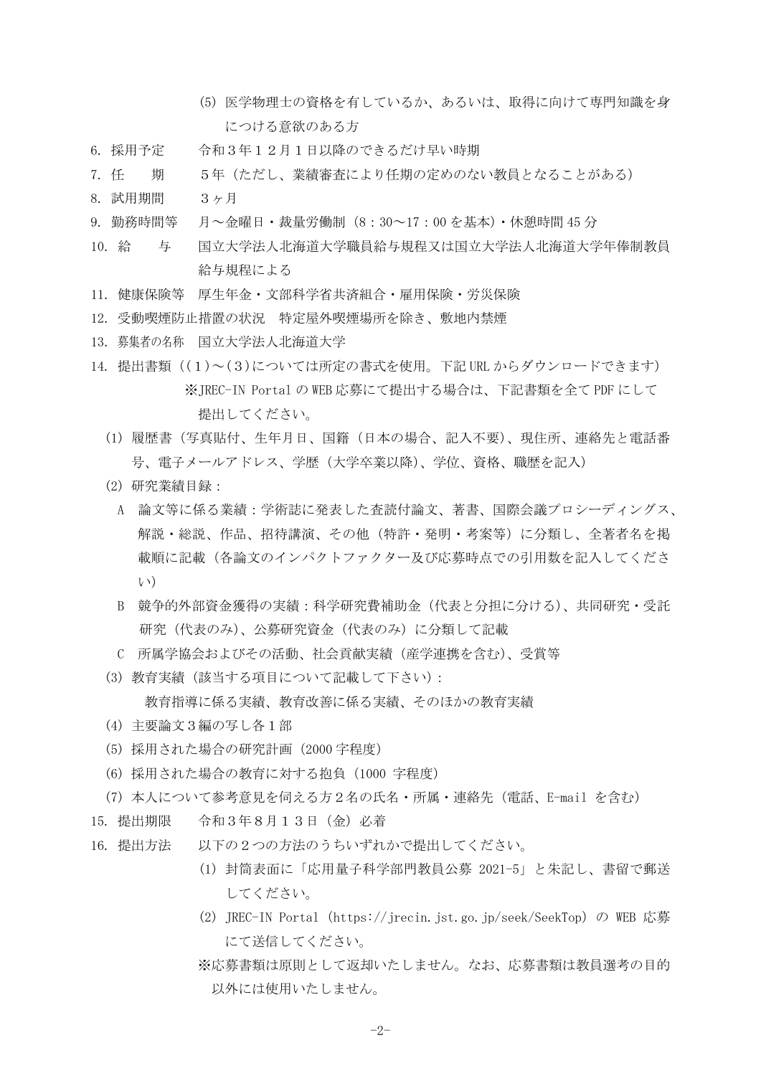- (5) 医学物理士の資格を有しているか、あるいは、取得に向けて専門知識を身 につける意欲のある方
- 6. 採用予定 令和3年12月1日以降のできるだけ早い時期
- 7. 任 期 5年(ただし、業績審査により任期の定めのない教員となることがある)
- 8. 試用期間 3ヶ月
- 9. 勤務時間等 月~金曜日・裁量労働制(8:30~17:00 を基本)・休憩時間 45 分
- 10. 給 与 国立大学法人北海道大学職員給与規程又は国立大学法人北海道大学年俸制教員 給与規程による
- 11. 健康保険等 厚生年金・文部科学省共済組合・雇用保険・労災保険
- 12. 受動喫煙防止措置の状況 特定屋外喫煙場所を除き、敷地内禁煙
- 13. 募集者の名称 国立大学法人北海道大学
- 14. 提出書類 ((1)~(3)については所定の書式を使用。下記 URL からダウンロードできます) ※JREC-IN Portal の WEB 応募にて提出する場合は、下記書類を全て PDF にして 提出してください。
	- (1) 履歴書(写真貼付、生年月日、国籍(日本の場合、記入不要)、現住所、連絡先と電話番 号、電子メールアドレス、学歴(大学卒業以降)、学位、資格、職歴を記入)
	- (2) 研究業績目録:
		- A 論文等に係る業績:学術誌に発表した査読付論文、著書、国際会議プロシーディングス、 解説・総説、作品、招待講演、その他(特許・発明・考案等)に分類し、全著者名を掲 載順に記載(各論文のインパクトファクター及び応募時点での引用数を記入してくださ い)
		- B 競争的外部資金獲得の実績:科学研究費補助金(代表と分担に分ける)、共同研究・受託 研究(代表のみ)、公募研究資金(代表のみ)に分類して記載
		- C 所属学協会およびその活動、社会貢献実績(産学連携を含む)、受賞等
	- (3) 教育実績(該当する項目について記載して下さい):

教育指導に係る実績、教育改善に係る実績、そのほかの教育実績

- (4) 主要論文3編の写し各1部
- (5) 採用された場合の研究計画(2000 字程度)
- (6) 採用された場合の教育に対する抱負(1000 字程度)
- (7) 本人について参考意見を伺える方2名の氏名・所属・連絡先(電話、E-mail を含む)
- 15. 提出期限 令和3年8月13日(金)必着
- 16. 提出方法 以下の2つの方法のうちいずれかで提出してください。
	- (1) 封筒表面に「応用量子科学部門教員公募 2021-5」と朱記し、書留で郵送 してください。
	- (2) JREC-IN Portal (https://jrecin.jst.go.jp/seek/SeekTop) の WEB 応募 にて送信してください。
	- ※応募書類は原則として返却いたしません。なお、応募書類は教員選考の目的 以外には使用いたしません。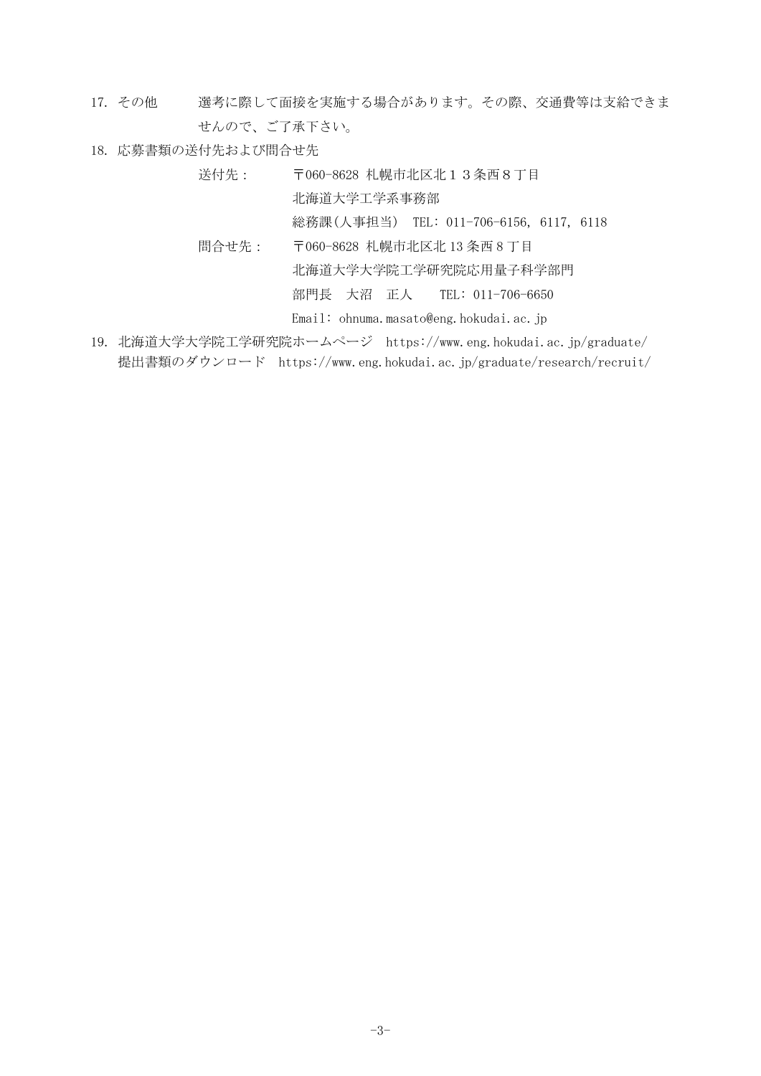- 17. その他 選考に際して面接を実施する場合があります。その際、交通費等は支給できま せんので、ご了承下さい。
- 18. 応募書類の送付先および問合せ先

送付先: 〒060-8628 札幌市北区北13条西8丁目 北海道大学工学系事務部 総務課(人事担当) TEL: 011-706-6156, 6117, 6118 問合せ先: 〒060-8628 札幌市北区北 13 条西 8 丁目

北海道大学大学院工学研究院応用量子科学部門

部門長 大沼 正人 TEL: 011-706-6650

Email: ohnuma.masato@eng.hokudai.ac.jp

19. 北海道大学大学院工学研究院ホームページ https://www.eng.hokudai.ac.jp/graduate/ 提出書類のダウンロード https://www.eng.hokudai.ac.jp/graduate/research/recruit/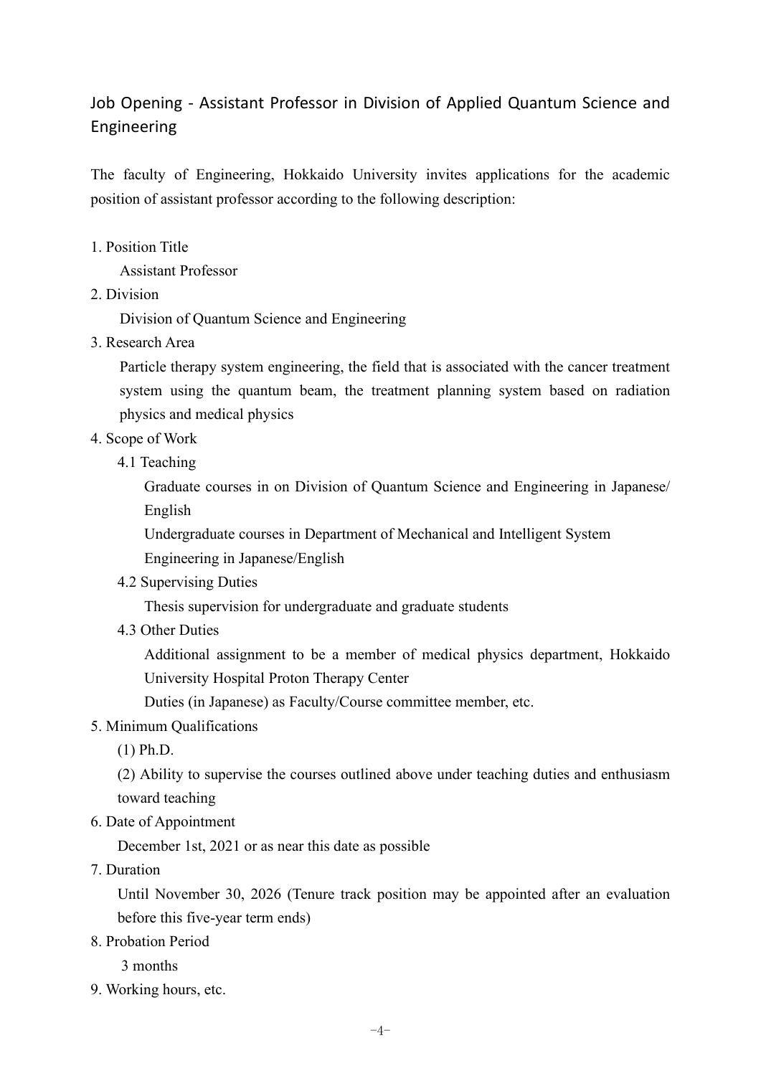# Job Opening - Assistant Professor in Division of Applied Quantum Science and Engineering

The faculty of Engineering, Hokkaido University invites applications for the academic position of assistant professor according to the following description:

1. Position Title

Assistant Professor

2. Division

Division of Quantum Science and Engineering

3. Research Area

Particle therapy system engineering, the field that is associated with the cancer treatment system using the quantum beam, the treatment planning system based on radiation physics and medical physics

- 4. Scope of Work
	- 4.1 Teaching

Graduate courses in on Division of Quantum Science and Engineering in Japanese/ English

Undergraduate courses in Department of Mechanical and Intelligent System

Engineering in Japanese/English

4.2 Supervising Duties

Thesis supervision for undergraduate and graduate students

4.3 Other Duties

Additional assignment to be a member of medical physics department, Hokkaido University Hospital Proton Therapy Center

Duties (in Japanese) as Faculty/Course committee member, etc.

## 5. Minimum Qualifications

(1) Ph.D.

(2) Ability to supervise the courses outlined above under teaching duties and enthusiasm toward teaching

6. Date of Appointment

December 1st, 2021 or as near this date as possible

7. Duration

Until November 30, 2026 (Tenure track position may be appointed after an evaluation before this five-year term ends)

8. Probation Period

3 months

9. Working hours, etc.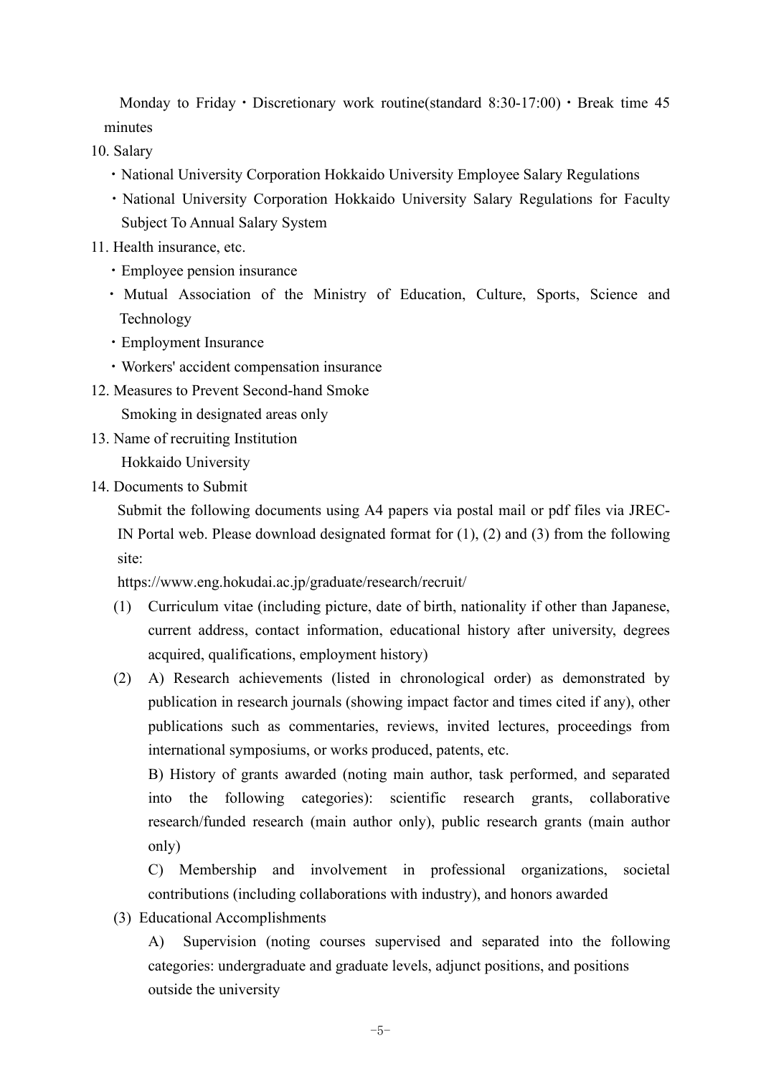Monday to Friday • Discretionary work routine(standard  $8:30-17:00$ ) • Break time 45 minutes

10. Salary

- ・National University Corporation Hokkaido University Employee Salary Regulations
- ・National University Corporation Hokkaido University Salary Regulations for Faculty Subject To Annual Salary System
- 11. Health insurance, etc.
	- ・Employee pension insurance
	- ・ Mutual Association of the Ministry of Education, Culture, Sports, Science and Technology
	- ・Employment Insurance
	- ・Workers' accident compensation insurance
- 12. Measures to Prevent Second-hand Smoke

Smoking in designated areas only

- 13. Name of recruiting Institution Hokkaido University
- 14. Documents to Submit

Submit the following documents using A4 papers via postal mail or pdf files via JREC-IN Portal web. Please download designated format for (1), (2) and (3) from the following site:

https://www.eng.hokudai.ac.jp/graduate/research/recruit/

- (1) Curriculum vitae (including picture, date of birth, nationality if other than Japanese, current address, contact information, educational history after university, degrees acquired, qualifications, employment history)
- (2) A) Research achievements (listed in chronological order) as demonstrated by publication in research journals (showing impact factor and times cited if any), other publications such as commentaries, reviews, invited lectures, proceedings from international symposiums, or works produced, patents, etc.

B) History of grants awarded (noting main author, task performed, and separated into the following categories): scientific research grants, collaborative research/funded research (main author only), public research grants (main author only)

C) Membership and involvement in professional organizations, societal contributions (including collaborations with industry), and honors awarded

(3) Educational Accomplishments

A) Supervision (noting courses supervised and separated into the following categories: undergraduate and graduate levels, adjunct positions, and positions outside the university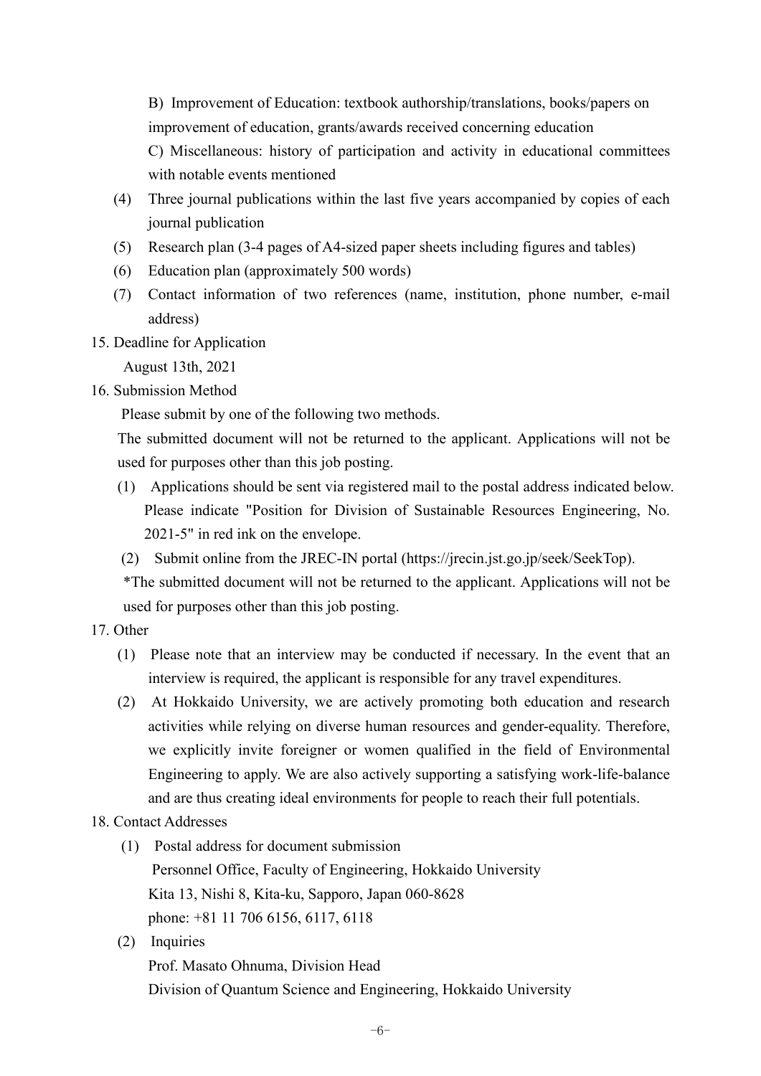B) Improvement of Education: textbook authorship/translations, books/papers on improvement of education, grants/awards received concerning education

C) Miscellaneous: history of participation and activity in educational committees with notable events mentioned

- (4) Three journal publications within the last five years accompanied by copies of each journal publication
- (5) Research plan (3-4 pages of A4-sized paper sheets including figures and tables)
- (6) Education plan (approximately 500 words)
- (7) Contact information of two references (name, institution, phone number, e-mail address)
- 15. Deadline for Application

August 13th, 2021

16. Submission Method

Please submit by one of the following two methods.

The submitted document will not be returned to the applicant. Applications will not be used for purposes other than this job posting.

- (1) Applications should be sent via registered mail to the postal address indicated below. Please indicate "Position for Division of Sustainable Resources Engineering, No. 2021-5" in red ink on the envelope.
- (2) Submit online from the JREC-IN portal (https://jrecin.jst.go.jp/seek/SeekTop).

\*The submitted document will not be returned to the applicant. Applications will not be used for purposes other than this job posting.

- 17. Other
	- (1) Please note that an interview may be conducted if necessary. In the event that an interview is required, the applicant is responsible for any travel expenditures.
	- (2) At Hokkaido University, we are actively promoting both education and research activities while relying on diverse human resources and gender-equality. Therefore, we explicitly invite foreigner or women qualified in the field of Environmental Engineering to apply. We are also actively supporting a satisfying work-life-balance and are thus creating ideal environments for people to reach their full potentials.

## 18. Contact Addresses

- (1) Postal address for document submission Personnel Office, Faculty of Engineering, Hokkaido University Kita 13, Nishi 8, Kita-ku, Sapporo, Japan 060-8628 phone: +81 11 706 6156, 6117, 6118
- (2) Inquiries

Prof. Masato Ohnuma, Division Head Division of Quantum Science and Engineering, Hokkaido University